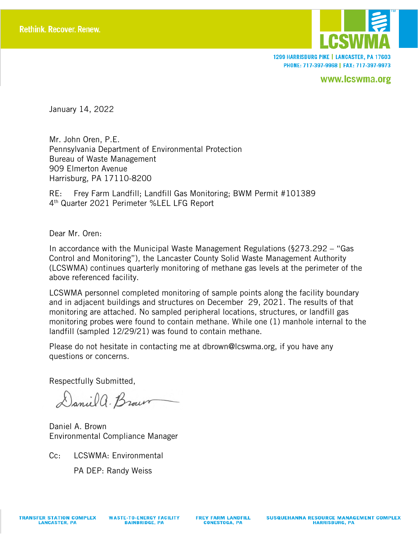

1299 HARRISBURG PIKE | LANCASTER, PA 17603 PHONE: 717-397-9968 | FAX: 717-397-9973

www.lcswma.org

January 14, 2022

Mr. John Oren, P.E. Pennsylvania Department of Environmental Protection Bureau of Waste Management 909 Elmerton Avenue Harrisburg, PA 17110-8200

RE: Frey Farm Landfill; Landfill Gas Monitoring; BWM Permit #101389 4th Quarter 2021 Perimeter %LEL LFG Report

Dear Mr. Oren:

In accordance with the Municipal Waste Management Regulations (§273.292 – "Gas Control and Monitoring"), the Lancaster County Solid Waste Management Authority (LCSWMA) continues quarterly monitoring of methane gas levels at the perimeter of the above referenced facility.

LCSWMA personnel completed monitoring of sample points along the facility boundary and in adjacent buildings and structures on December 29, 2021. The results of that monitoring are attached. No sampled peripheral locations, structures, or landfill gas monitoring probes were found to contain methane. While one (1) manhole internal to the landfill (sampled 12/29/21) was found to contain methane.

Please do not hesitate in contacting me at dbrown@lcswma.org, if you have any questions or concerns.

Respectfully Submitted,

Daniel a. Brown

Daniel A. Brown Environmental Compliance Manager

Cc: LCSWMA: Environmental

PA DEP: Randy Weiss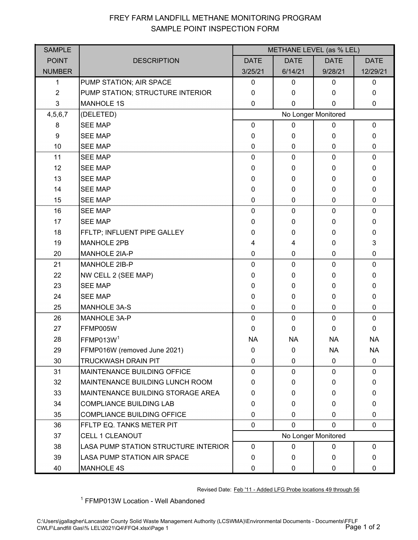## FREY FARM LANDFILL METHANE MONITORING PROGRAM SAMPLE POINT INSPECTION FORM

| <b>SAMPLE</b>  |                                        | METHANE LEVEL (as % LEL) |              |              |              |  |  |
|----------------|----------------------------------------|--------------------------|--------------|--------------|--------------|--|--|
| <b>POINT</b>   | <b>DESCRIPTION</b>                     | <b>DATE</b>              | <b>DATE</b>  | <b>DATE</b>  | <b>DATE</b>  |  |  |
| <b>NUMBER</b>  |                                        | 3/25/21                  | 6/14/21      | 9/28/21      | 12/29/21     |  |  |
| 1              | PUMP STATION; AIR SPACE                | $\mathbf 0$              | 0            | 0            | 0            |  |  |
| $\overline{2}$ | PUMP STATION; STRUCTURE INTERIOR       | $\mathbf 0$              | $\Omega$     | 0            | 0            |  |  |
| 3              | <b>MANHOLE 1S</b>                      | 0                        | $\Omega$     | 0            | 0            |  |  |
| 4,5,6,7        | (DELETED)                              | No Longer Monitored      |              |              |              |  |  |
| 8              | <b>SEE MAP</b>                         | $\mathbf 0$              | 0            | 0            | $\mathbf 0$  |  |  |
| 9              | <b>SEE MAP</b>                         | 0                        | $\Omega$     | 0            | 0            |  |  |
| 10             | <b>SEE MAP</b>                         | 0                        | $\Omega$     | 0            | 0            |  |  |
| 11             | <b>SEE MAP</b>                         | 0                        | 0            | 0            | 0            |  |  |
| 12             | <b>SEE MAP</b>                         | 0                        | 0            | 0            | 0            |  |  |
| 13             | <b>SEE MAP</b>                         | 0                        | 0            | 0            | 0            |  |  |
| 14             | <b>SEE MAP</b>                         | 0                        | $\Omega$     | 0            | 0            |  |  |
| 15             | <b>SEE MAP</b>                         | 0                        | $\Omega$     | 0            | 0            |  |  |
| 16             | <b>SEE MAP</b>                         | 0                        | 0            | 0            | 0            |  |  |
| 17             | <b>SEE MAP</b>                         | 0                        | $\Omega$     | 0            | 0            |  |  |
| 18             | FFLTP; INFLUENT PIPE GALLEY            | $\Omega$                 | 0            | 0            | 0            |  |  |
| 19             | <b>MANHOLE 2PB</b>                     | 4                        | 4            | 0            | 3            |  |  |
| 20             | MANHOLE 2IA-P                          | 0                        | $\Omega$     | 0            | 0            |  |  |
| 21             | <b>MANHOLE 2IB-P</b>                   | 0                        | 0            | $\mathbf{0}$ | 0            |  |  |
| 22             | NW CELL 2 (SEE MAP)                    | 0                        | $\Omega$     | 0            | 0            |  |  |
| 23             | <b>SEE MAP</b>                         | 0                        | 0            | 0            | 0            |  |  |
| 24             | <b>SEE MAP</b>                         | 0                        | 0            | 0            | 0            |  |  |
| 25             | <b>MANHOLE 3A-S</b>                    | $\Omega$                 | 0            | 0            | 0            |  |  |
| 26             | <b>MANHOLE 3A-P</b>                    | 0                        | 0            | 0            | 0            |  |  |
| 27             | FFMP005W                               | 0                        | $\Omega$     | 0            | 0            |  |  |
| 28             | FFMP013W <sup>1</sup>                  | <b>NA</b>                | <b>NA</b>    | <b>NA</b>    | <b>NA</b>    |  |  |
| 29             | FFMP016W (removed June 2021)           | 0                        | 0            | <b>NA</b>    | <b>NA</b>    |  |  |
| 30             | <b>TRUCKWASH DRAIN PIT</b>             | 0                        | $\Omega$     | $\mathbf{0}$ | $\mathbf 0$  |  |  |
| 31             | <b>MAINTENANCE BUILDING OFFICE</b>     | 0                        | 0            | 0            | 0            |  |  |
| 32             | <b>MAINTENANCE BUILDING LUNCH ROOM</b> | 0                        | $\mathbf{0}$ | 0            | $\mathbf{0}$ |  |  |
| 33             | MAINTENANCE BUILDING STORAGE AREA      | 0                        | $\Omega$     | 0            | 0            |  |  |
| 34             | <b>COMPLIANCE BUILDING LAB</b>         | 0                        | $\Omega$     | 0            | 0            |  |  |
| 35             | <b>COMPLIANCE BUILDING OFFICE</b>      | $\Omega$                 | 0            | 0            | 0            |  |  |
| 36             | FFLTP EQ. TANKS METER PIT              | 0                        | $\mathbf{0}$ | 0            | 0            |  |  |
| 37             | <b>CELL 1 CLEANOUT</b>                 | No Longer Monitored      |              |              |              |  |  |
| 38             | LASA PUMP STATION STRUCTURE INTERIOR   | $\mathbf 0$              | $\mathbf 0$  | 0            | $\mathbf{0}$ |  |  |
| 39             | LASA PUMP STATION AIR SPACE            | $\Omega$                 | $\Omega$     | 0            | 0            |  |  |
| 40             | <b>MANHOLE 4S</b>                      | $\mathbf 0$              | $\mathbf{0}$ | 0            | 0            |  |  |

Revised Date: Feb '11 - Added LFG Probe locations 49 through 56

<sup>1</sup> FFMP013W Location - Well Abandoned